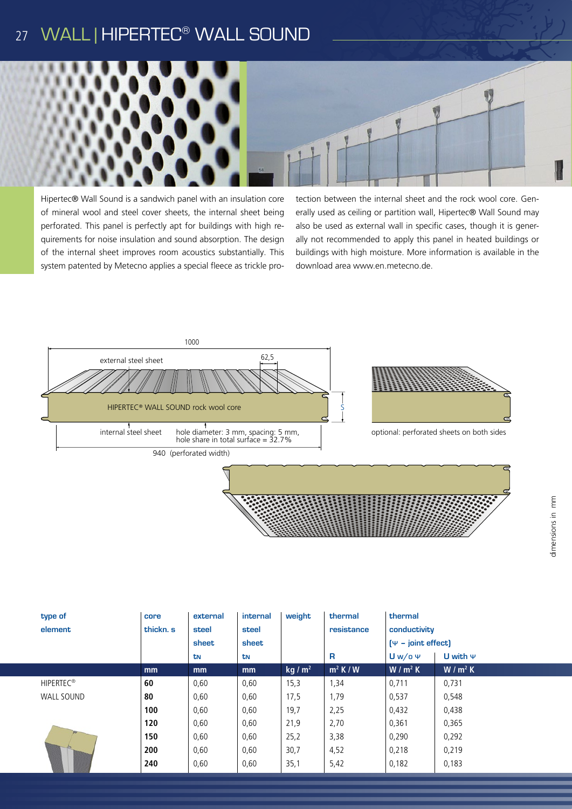# 27 WALL | HIPERTEC<sup>®</sup> WALL SOUND



Hipertec® Wall Sound is a sandwich panel with an insulation core of mineral wool and steel cover sheets, the internal sheet being perforated. This panel is perfectly apt for buildings with high requirements for noise insulation and sound absorption. The design of the internal sheet improves room acoustics substantially. This system patented by Metecno applies a special fleece as trickle pro-

tection between the internal sheet and the rock wool core. Generally used as ceiling or partition wall, Hipertec® Wall Sound may also be used as external wall in specific cases, though it is generally not recommended to apply this panel in heated buildings or buildings with high moisture. More information is available in the download area www.en.metecno.de.



|  | type of           | core      | external | internal | weight            | thermal     | thermal                        |               |  |  |
|--|-------------------|-----------|----------|----------|-------------------|-------------|--------------------------------|---------------|--|--|
|  | element           | thickn. s | steel    | steel    |                   | resistance  | conductivity                   |               |  |  |
|  |                   |           | sheet    | sheet    |                   |             | $[\Psi - \text{joint effect}]$ |               |  |  |
|  |                   |           | tN       | tN       |                   | R           | $Uw$ /o $\Psi$                 | U with $\Psi$ |  |  |
|  |                   | mm        | mm       | mm       | kg/m <sup>2</sup> | $m^2$ K / W | $W/m^2 K$                      | $W/m^2 K$     |  |  |
|  | <b>HIPERTEC®</b>  | 60        | 0,60     | 0,60     | 15,3              | 1,34        | 0,711                          | 0,731         |  |  |
|  | <b>WALL SOUND</b> | 80        | 0,60     | 0,60     | 17,5              | 1,79        | 0,537                          | 0,548         |  |  |
|  | A                 | 100       | 0,60     | 0,60     | 19,7              | 2,25        | 0,432                          | 0,438         |  |  |
|  |                   | 120       | 0,60     | 0,60     | 21,9              | 2,70        | 0,361                          | 0,365         |  |  |
|  |                   | 150       | 0,60     | 0,60     | 25,2              | 3,38        | 0,290                          | 0,292         |  |  |
|  |                   | 200       | 0,60     | 0,60     | 30,7              | 4,52        | 0,218                          | 0,219         |  |  |
|  |                   | 240       | 0,60     | 0,60     | 35,1              | 5,42        | 0,182                          | 0,183         |  |  |